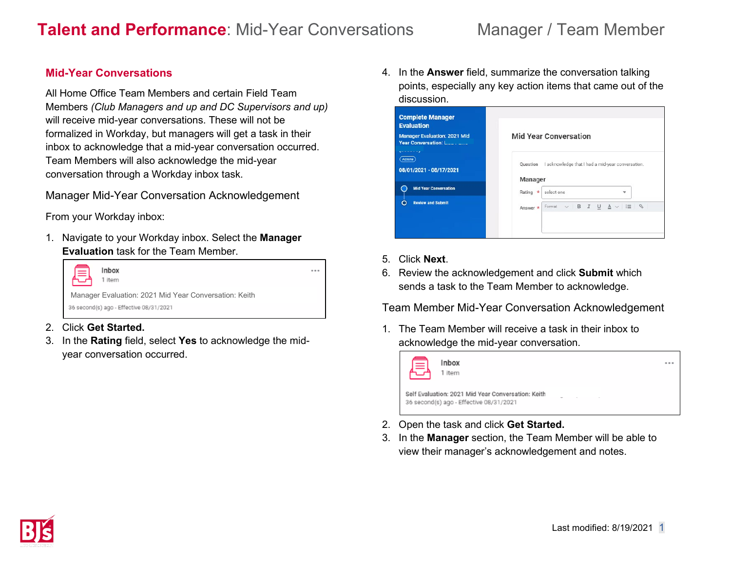## **Mid-Year Conversations**

All Home Office Team Members and certain Field Team Members *(Club Managers and up and DC Supervisors and up)* will receive mid-year conversations. These will not be formalized in Workday, but managers will get a task in their inbox to acknowledge that a mid-year conversation occurred. Team Members will also acknowledge the mid-year conversation through a Workday inbox task.

## Manager Mid-Year Conversation Acknowledgement

From your Workday inbox:

1. Navigate to your Workday inbox. Select the **Manager Evaluation** task for the Team Member.



- 2. Click **Get Started.**
- 3. In the **Rating** field, select **Yes** to acknowledge the midyear conversation occurred.

4. In the **Answer** field, summarize the conversation talking points, especially any key action items that came out of the discussion.

| <b>Complete Manager</b><br><b>Evaluation</b> |                                                                                                       |  |  |
|----------------------------------------------|-------------------------------------------------------------------------------------------------------|--|--|
| <b>Manager Evaluation: 2021 Mid</b><br>----  | <b>Mid Year Conversation</b><br>Question I acknowledge that I had a mid-year conversation.<br>Manager |  |  |
| Actions<br>08/01/2021 - 08/17/2021           |                                                                                                       |  |  |
|                                              |                                                                                                       |  |  |
| <b>Mid Year Conversation</b>                 | select one<br>Rating *<br>÷                                                                           |  |  |
| <b>Review and Submit</b>                     | $\mathscr{O}$<br>Format $\vee$ <b>B</b> $I$ <b>U</b> $\underline{A}$ $\vee$ $\equiv$<br>Answer *      |  |  |
|                                              |                                                                                                       |  |  |

- 5. Click **Next**.
- 6. Review the acknowledgement and click **Submit** which sends a task to the Team Member to acknowledge.

Team Member Mid-Year Conversation Acknowledgement

1. The Team Member will receive a task in their inbox to acknowledge the mid-year conversation.



- 2. Open the task and click **Get Started.**
- 3. In the **Manager** section, the Team Member will be able to view their manager's acknowledgement and notes.